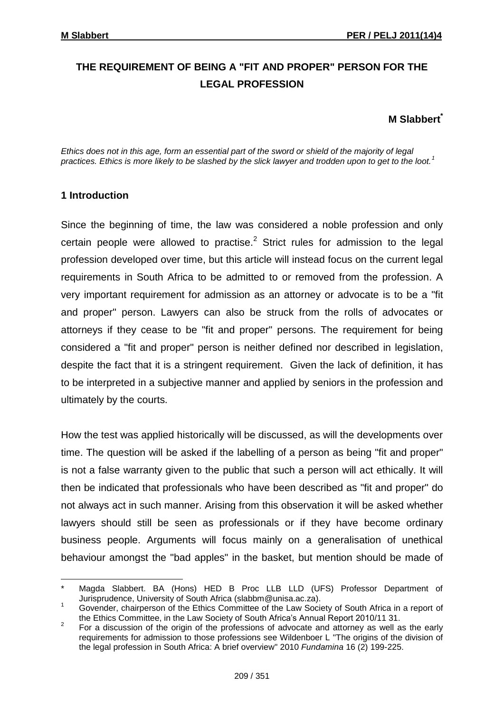# **THE REQUIREMENT OF BEING A "FIT AND PROPER" PERSON FOR THE LEGAL PROFESSION**

## **M Slabbert\***

*Ethics does not in this age, form an essential part of the sword or shield of the majority of legal practices. Ethics is more likely to be slashed by the slick lawyer and trodden upon to get to the loot.<sup>1</sup>*

## **1 Introduction**

1

Since the beginning of time, the law was considered a noble profession and only certain people were allowed to practise. $2$  Strict rules for admission to the legal profession developed over time, but this article will instead focus on the current legal requirements in South Africa to be admitted to or removed from the profession. A very important requirement for admission as an attorney or advocate is to be a "fit and proper" person. Lawyers can also be struck from the rolls of advocates or attorneys if they cease to be "fit and proper" persons. The requirement for being considered a "fit and proper" person is neither defined nor described in legislation, despite the fact that it is a stringent requirement. Given the lack of definition, it has to be interpreted in a subjective manner and applied by seniors in the profession and ultimately by the courts.

How the test was applied historically will be discussed, as will the developments over time. The question will be asked if the labelling of a person as being "fit and proper" is not a false warranty given to the public that such a person will act ethically. It will then be indicated that professionals who have been described as "fit and proper" do not always act in such manner. Arising from this observation it will be asked whether lawyers should still be seen as professionals or if they have become ordinary business people. Arguments will focus mainly on a generalisation of unethical behaviour amongst the "bad apples" in the basket, but mention should be made of

Magda Slabbert. BA (Hons) HED B Proc LLB LLD (UFS) Professor Department of Jurisprudence, University of South Africa [\(slabbm@unisa.ac.za\)](mailto:slabbm@unisa.ac.za).

<sup>1</sup> Govender, chairperson of the Ethics Committee of the Law Society of South Africa in a report of the Ethics Committee, in the Law Society of South Africa's Annual Report 2010/11 31.

<sup>2</sup> For a discussion of the origin of the professions of advocate and attorney as well as the early requirements for admission to those professions see Wildenboer L "The origins of the division of the legal profession in South Africa: A brief overview" 2010 *Fundamina* 16 (2) 199-225.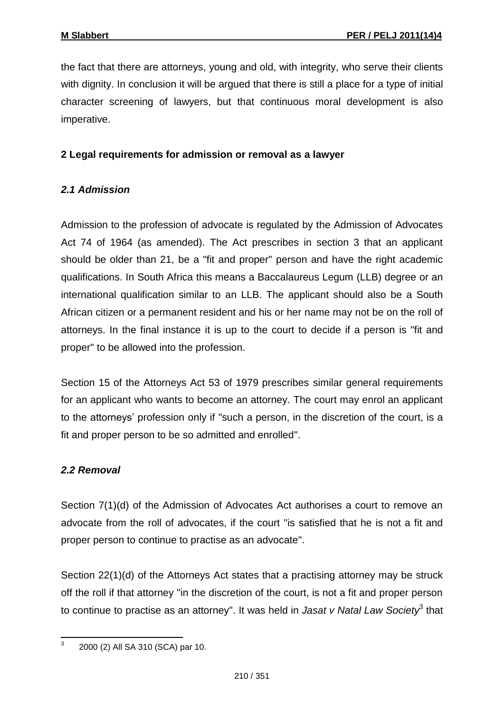the fact that there are attorneys, young and old, with integrity, who serve their clients with dignity. In conclusion it will be argued that there is still a place for a type of initial character screening of lawyers, but that continuous moral development is also imperative.

## **2 Legal requirements for admission or removal as a lawyer**

#### *2.1 Admission*

Admission to the profession of advocate is regulated by the Admission of Advocates Act 74 of 1964 (as amended). The Act prescribes in section 3 that an applicant should be older than 21, be a "fit and proper" person and have the right academic qualifications. In South Africa this means a Baccalaureus Legum (LLB) degree or an international qualification similar to an LLB. The applicant should also be a South African citizen or a permanent resident and his or her name may not be on the roll of attorneys. In the final instance it is up to the court to decide if a person is "fit and proper" to be allowed into the profession.

Section 15 of the Attorneys Act 53 of 1979 prescribes similar general requirements for an applicant who wants to become an attorney. The court may enrol an applicant to the attorneys' profession only if "such a person, in the discretion of the court, is a fit and proper person to be so admitted and enrolled".

## *2.2 Removal*

Section 7(1)(d) of the Admission of Advocates Act authorises a court to remove an advocate from the roll of advocates, if the court "is satisfied that he is not a fit and proper person to continue to practise as an advocate".

Section 22(1)(d) of the Attorneys Act states that a practising attorney may be struck off the roll if that attorney "in the discretion of the court, is not a fit and proper person to continue to practise as an attorney". It was held in *Jasat v Natal Law Society*<sup>3</sup> that

 $\frac{1}{3}$ 2000 (2) All SA 310 (SCA) par 10.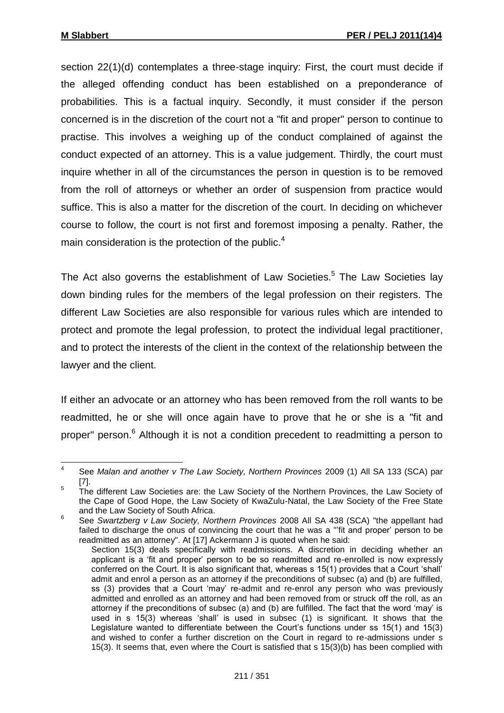section 22(1)(d) contemplates a three-stage inquiry: First, the court must decide if the alleged offending conduct has been established on a preponderance of probabilities. This is a factual inquiry. Secondly, it must consider if the person concerned is in the discretion of the court not a "fit and proper" person to continue to practise. This involves a weighing up of the conduct complained of against the conduct expected of an attorney. This is a value judgement. Thirdly, the court must inquire whether in all of the circumstances the person in question is to be removed from the roll of attorneys or whether an order of suspension from practice would suffice. This is also a matter for the discretion of the court. In deciding on whichever course to follow, the court is not first and foremost imposing a penalty. Rather, the main consideration is the protection of the public. $4$ 

The Act also governs the establishment of Law Societies.<sup>5</sup> The Law Societies lay down binding rules for the members of the legal profession on their registers. The different Law Societies are also responsible for various rules which are intended to protect and promote the legal profession, to protect the individual legal practitioner, and to protect the interests of the client in the context of the relationship between the lawyer and the client.

If either an advocate or an attorney who has been removed from the roll wants to be readmitted, he or she will once again have to prove that he or she is a "fit and proper" person.<sup>6</sup> Although it is not a condition precedent to readmitting a person to

 $\frac{1}{4}$ See *Malan and another v The Law Society, Northern Provinces* 2009 (1) All SA 133 (SCA) par [7].

<sup>5</sup> The different Law Societies are: the Law Society of the Northern Provinces, the Law Society of the Cape of Good Hope, the Law Society of KwaZulu-Natal, the Law Society of the Free State and the Law Society of South Africa.

<sup>6</sup> See *Swartzberg v Law Society, Northern Provinces* 2008 All SA 438 (SCA) "the appellant had failed to discharge the onus of convincing the court that he was a "'fit and proper' person to be readmitted as an attorney". At [17] Ackermann J is quoted when he said:

Section 15(3) deals specifically with readmissions. A discretion in deciding whether an applicant is a 'fit and proper' person to be so readmitted and re-enrolled is now expressly conferred on the Court. It is also significant that, whereas s 15(1) provides that a Court 'shall' admit and enrol a person as an attorney if the preconditions of subsec (a) and (b) are fulfilled, ss (3) provides that a Court 'may' re-admit and re-enrol any person who was previously admitted and enrolled as an attorney and had been removed from or struck off the roll, as an attorney if the preconditions of subsec (a) and (b) are fulfilled. The fact that the word 'may' is used in s 15(3) whereas 'shall' is used in subsec (1) is significant. It shows that the Legislature wanted to differentiate between the Court's functions under ss 15(1) and 15(3) and wished to confer a further discretion on the Court in regard to re-admissions under s 15(3). It seems that, even where the Court is satisfied that s 15(3)(b) has been complied with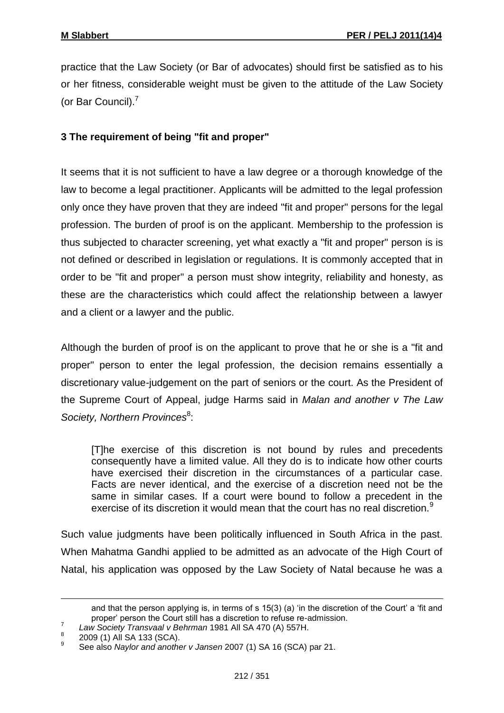practice that the Law Society (or Bar of advocates) should first be satisfied as to his or her fitness, considerable weight must be given to the attitude of the Law Society (or Bar Council).<sup>7</sup>

# **3 The requirement of being "fit and proper"**

It seems that it is not sufficient to have a law degree or a thorough knowledge of the law to become a legal practitioner. Applicants will be admitted to the legal profession only once they have proven that they are indeed "fit and proper" persons for the legal profession. The burden of proof is on the applicant. Membership to the profession is thus subjected to character screening, yet what exactly a "fit and proper" person is is not defined or described in legislation or regulations. It is commonly accepted that in order to be "fit and proper" a person must show integrity, reliability and honesty, as these are the characteristics which could affect the relationship between a lawyer and a client or a lawyer and the public.

Although the burden of proof is on the applicant to prove that he or she is a "fit and proper" person to enter the legal profession, the decision remains essentially a discretionary value-judgement on the part of seniors or the court. As the President of the Supreme Court of Appeal, judge Harms said in *Malan and another v The Law*  Society, Northern Provinces<sup>8</sup>:

[T]he exercise of this discretion is not bound by rules and precedents consequently have a limited value. All they do is to indicate how other courts have exercised their discretion in the circumstances of a particular case. Facts are never identical, and the exercise of a discretion need not be the same in similar cases. If a court were bound to follow a precedent in the exercise of its discretion it would mean that the court has no real discretion.<sup>9</sup>

Such value judgments have been politically influenced in South Africa in the past. When Mahatma Gandhi applied to be admitted as an advocate of the High Court of Natal, his application was opposed by the Law Society of Natal because he was a

<u>.</u>

and that the person applying is, in terms of s 15(3) (a) 'in the discretion of the Court' a 'fit and proper' person the Court still has a discretion to refuse re-admission.

<sup>7</sup> *Law Society Transvaal v Behrman* 1981 All SA 470 (A) 557H.

<sup>8</sup> 2009 (1) All SA 133 (SCA).

<sup>9</sup> See also *Naylor and another v Jansen* 2007 (1) SA 16 (SCA) par 21.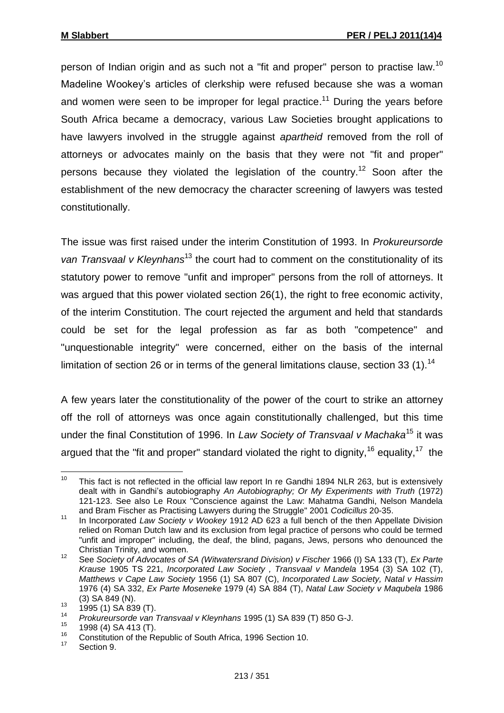person of Indian origin and as such not a "fit and proper" person to practise law.<sup>10</sup> Madeline Wookey's articles of clerkship were refused because she was a woman and women were seen to be improper for legal practice.<sup>11</sup> During the years before South Africa became a democracy, various Law Societies brought applications to have lawyers involved in the struggle against *apartheid* removed from the roll of attorneys or advocates mainly on the basis that they were not "fit and proper" persons because they violated the legislation of the country.<sup>12</sup> Soon after the establishment of the new democracy the character screening of lawyers was tested constitutionally.

The issue was first raised under the interim Constitution of 1993. In *Prokureursorde*  van Transvaal v Kleynhans<sup>13</sup> the court had to comment on the constitutionality of its statutory power to remove "unfit and improper" persons from the roll of attorneys. It was argued that this power violated section 26(1), the right to free economic activity, of the interim Constitution. The court rejected the argument and held that standards could be set for the legal profession as far as both "competence" and "unquestionable integrity" were concerned, either on the basis of the internal limitation of section 26 or in terms of the general limitations clause, section 33  $(1)$ .<sup>14</sup>

A few years later the constitutionality of the power of the court to strike an attorney off the roll of attorneys was once again constitutionally challenged, but this time under the final Constitution of 1996. In *Law Society of Transvaal v Machaka*<sup>15</sup> it was argued that the "fit and proper" standard violated the right to dignity,  $16$  equality,  $17$  the

<sup>10</sup> This fact is not reflected in the official law report In re Gandhi 1894 NLR 263, but is extensively dealt with in Gandhi's autobiography *An Autobiography; Or My Experiments with Truth* (1972) 121-123. See also Le Roux "Conscience against the Law: Mahatma Gandhi, Nelson Mandela and Bram Fischer as Practising Lawyers during the Struggle" 2001 *Codicillus* 20-35.

<sup>11</sup> In Incorporated *Law Society v Wookey* 1912 AD 623 a full bench of the then Appellate Division relied on Roman Dutch law and its exclusion from legal practice of persons who could be termed "unfit and improper" including, the deaf, the blind, pagans, Jews, persons who denounced the Christian Trinity, and women.

<sup>12</sup> See *Society of Advocates of SA (Witwatersrand Division) v Fischer* 1966 (I) SA 133 (T), *Ex Parte Krause* 1905 TS 221, *Incorporated Law Society , Transvaal v Mandela* 1954 (3) SA 102 (T), *Matthews v Cape Law Society* 1956 (1) SA 807 (C), *Incorporated Law Society, Natal v Hassim* 1976 (4) SA 332, *Ex Parte Moseneke* 1979 (4) SA 884 (T), *Natal Law Society v Maqubela* 1986 (3) SA 849 (N).

 $13$  1995 (1) SA 839 (T).

<sup>14</sup> *Prokureursorde van Transvaal v Kleynhans* 1995 (1) SA 839 (T) 850 G-J.

 $^{15}$  1998 (4) SA 413 (T).

<sup>&</sup>lt;sup>16</sup> Constitution of the Republic of South Africa, 1996 Section 10.

Section 9.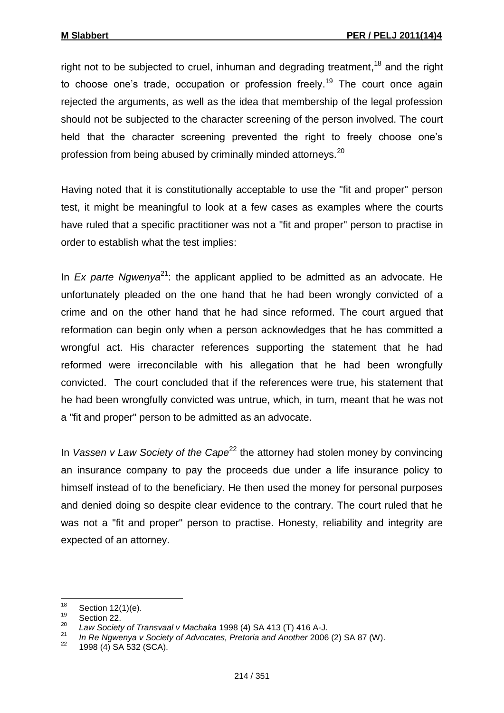right not to be subjected to cruel, inhuman and degrading treatment,<sup>18</sup> and the right to choose one's trade, occupation or profession freely.<sup>19</sup> The court once again rejected the arguments, as well as the idea that membership of the legal profession should not be subjected to the character screening of the person involved. The court held that the character screening prevented the right to freely choose one's profession from being abused by criminally minded attorneys.<sup>20</sup>

Having noted that it is constitutionally acceptable to use the "fit and proper" person test, it might be meaningful to look at a few cases as examples where the courts have ruled that a specific practitioner was not a "fit and proper" person to practise in order to establish what the test implies:

In *Ex parte Ngwenya*<sup>21</sup>: the applicant applied to be admitted as an advocate. He unfortunately pleaded on the one hand that he had been wrongly convicted of a crime and on the other hand that he had since reformed. The court argued that reformation can begin only when a person acknowledges that he has committed a wrongful act. His character references supporting the statement that he had reformed were irreconcilable with his allegation that he had been wrongfully convicted. The court concluded that if the references were true, his statement that he had been wrongfully convicted was untrue, which, in turn, meant that he was not a "fit and proper" person to be admitted as an advocate.

In *Vassen v Law Society of the Cape*<sup>22</sup> the attorney had stolen money by convincing an insurance company to pay the proceeds due under a life insurance policy to himself instead of to the beneficiary. He then used the money for personal purposes and denied doing so despite clear evidence to the contrary. The court ruled that he was not a "fit and proper" person to practise. Honesty, reliability and integrity are expected of an attorney.

<sup>18</sup>  $\frac{18}{19}$  Section 12(1)(e).

 $\frac{19}{20}$  Section 22.

<sup>20</sup> *Law Society of Transvaal v Machaka* 1998 (4) SA 413 (T) 416 A-J.

<sup>21</sup> *In Re Ngwenya v Society of Advocates, Pretoria and Another* 2006 (2) SA 87 (W).

<sup>1998 (4)</sup> SA 532 (SCA).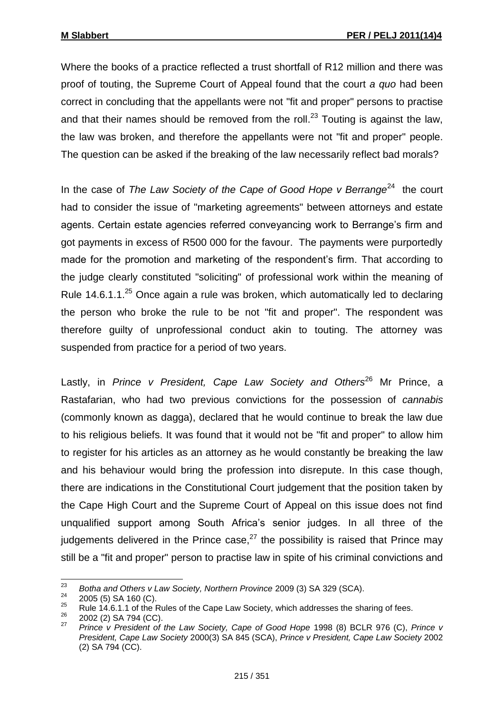Where the books of a practice reflected a trust shortfall of R12 million and there was proof of touting, the Supreme Court of Appeal found that the court *a quo* had been correct in concluding that the appellants were not "fit and proper" persons to practise and that their names should be removed from the roll.<sup>23</sup> Touting is against the law, the law was broken, and therefore the appellants were not "fit and proper" people. The question can be asked if the breaking of the law necessarily reflect bad morals?

In the case of *The Law Society of the Cape of Good Hope v Berrange*<sup>24</sup> the court had to consider the issue of "marketing agreements" between attorneys and estate agents. Certain estate agencies referred conveyancing work to Berrange's firm and got payments in excess of R500 000 for the favour. The payments were purportedly made for the promotion and marketing of the respondent's firm. That according to the judge clearly constituted "soliciting" of professional work within the meaning of Rule 14.6.1.1. $^{25}$  Once again a rule was broken, which automatically led to declaring the person who broke the rule to be not "fit and proper". The respondent was therefore guilty of unprofessional conduct akin to touting. The attorney was suspended from practice for a period of two years.

Lastly, in *Prince v President, Cape Law Society and Others<sup>26</sup> Mr Prince, a* Rastafarian, who had two previous convictions for the possession of *cannabis* (commonly known as dagga), declared that he would continue to break the law due to his religious beliefs. It was found that it would not be "fit and proper" to allow him to register for his articles as an attorney as he would constantly be breaking the law and his behaviour would bring the profession into disrepute. In this case though, there are indications in the Constitutional Court judgement that the position taken by the Cape High Court and the Supreme Court of Appeal on this issue does not find unqualified support among South Africa's senior judges. In all three of the judgements delivered in the Prince case, $^{27}$  the possibility is raised that Prince may still be a "fit and proper" person to practise law in spite of his criminal convictions and

<sup>23</sup> <sup>23</sup> *Botha and Others v Law Society, Northern Province* 2009 (3) SA 329 (SCA).

 $\frac{24}{25}$  2005 (5) SA 160 (C).

<sup>&</sup>lt;sup>25</sup> Rule 14.6.1.1 of the Rules of the Cape Law Society, which addresses the sharing of fees.

 $\frac{26}{27}$  2002 (2) SA 794 (CC).

<sup>27</sup> *Prince v President of the Law Society, Cape of Good Hope* 1998 (8) BCLR 976 (C), *Prince v President, Cape Law Society* 2000(3) SA 845 (SCA), *Prince v President, Cape Law Society* 2002 (2) SA 794 (CC).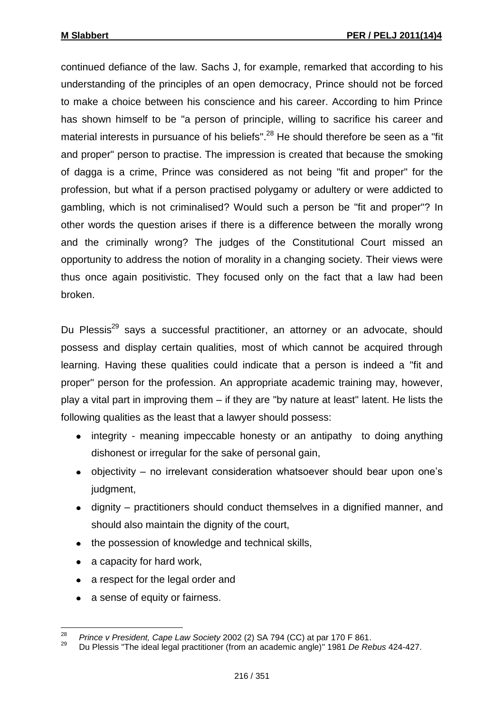continued defiance of the law. Sachs J, for example, remarked that according to his understanding of the principles of an open democracy, Prince should not be forced to make a choice between his conscience and his career. According to him Prince has shown himself to be "a person of principle, willing to sacrifice his career and material interests in pursuance of his beliefs".<sup>28</sup> He should therefore be seen as a "fit and proper" person to practise. The impression is created that because the smoking of dagga is a crime, Prince was considered as not being "fit and proper" for the profession, but what if a person practised polygamy or adultery or were addicted to gambling, which is not criminalised? Would such a person be "fit and proper"? In other words the question arises if there is a difference between the morally wrong and the criminally wrong? The judges of the Constitutional Court missed an opportunity to address the notion of morality in a changing society. Their views were thus once again positivistic. They focused only on the fact that a law had been broken.

Du Plessis<sup>29</sup> says a successful practitioner, an attorney or an advocate, should possess and display certain qualities, most of which cannot be acquired through learning. Having these qualities could indicate that a person is indeed a "fit and proper" person for the profession. An appropriate academic training may, however, play a vital part in improving them – if they are "by nature at least" latent. He lists the following qualities as the least that a lawyer should possess:

- integrity meaning impeccable honesty or an antipathy to doing anything dishonest or irregular for the sake of personal gain,
- objectivity no irrelevant consideration whatsoever should bear upon one's judgment,
- dignity practitioners should conduct themselves in a dignified manner, and should also maintain the dignity of the court,
- the possession of knowledge and technical skills,
- a capacity for hard work,
- a respect for the legal order and
- a sense of equity or fairness.

<sup>28</sup> <sup>28</sup> *Prince v President, Cape Law Society* 2002 (2) SA 794 (CC) at par 170 F 861.

<sup>29</sup> Du Plessis "The ideal legal practitioner (from an academic angle)" 1981 *De Rebus* 424-427.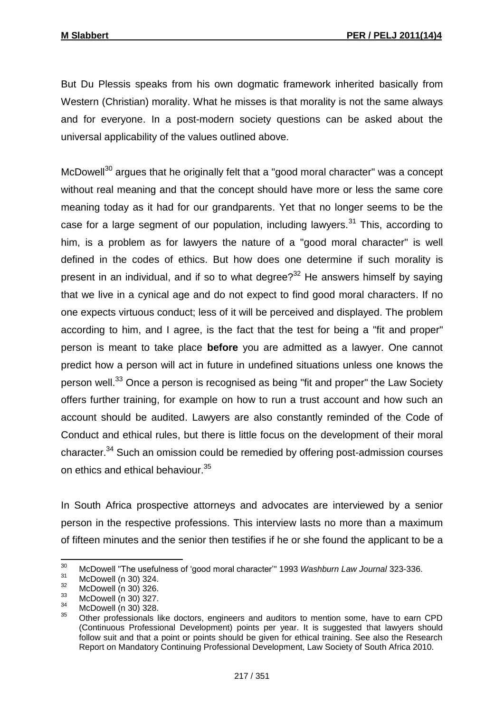But Du Plessis speaks from his own dogmatic framework inherited basically from Western (Christian) morality. What he misses is that morality is not the same always and for everyone. In a post-modern society questions can be asked about the universal applicability of the values outlined above.

 $McDowell<sup>30</sup>$  argues that he originally felt that a "good moral character" was a concept without real meaning and that the concept should have more or less the same core meaning today as it had for our grandparents. Yet that no longer seems to be the case for a large segment of our population, including lawyers.<sup>31</sup> This, according to him, is a problem as for lawyers the nature of a "good moral character" is well defined in the codes of ethics. But how does one determine if such morality is present in an individual, and if so to what degree?<sup>32</sup> He answers himself by saying that we live in a cynical age and do not expect to find good moral characters. If no one expects virtuous conduct; less of it will be perceived and displayed. The problem according to him, and I agree, is the fact that the test for being a "fit and proper" person is meant to take place **before** you are admitted as a lawyer. One cannot predict how a person will act in future in undefined situations unless one knows the person well.<sup>33</sup> Once a person is recognised as being "fit and proper" the Law Society offers further training, for example on how to run a trust account and how such an account should be audited. Lawyers are also constantly reminded of the Code of Conduct and ethical rules, but there is little focus on the development of their moral character.<sup>34</sup> Such an omission could be remedied by offering post-admission courses on ethics and ethical behaviour.<sup>35</sup>

In South Africa prospective attorneys and advocates are interviewed by a senior person in the respective professions. This interview lasts no more than a maximum of fifteen minutes and the senior then testifies if he or she found the applicant to be a

 $30<sub>o</sub>$ <sup>30</sup> McDowell "The usefulness of 'good moral character'" 1993 *Washburn Law Journal* 323-336.

 $31$  McDowell (n 30) 324.

 $\frac{32}{33}$  McDowell (n 30) 326.

 $^{33}$  McDowell (n 30) 327.

 $34$  McDowell (n 30) 328.

<sup>35</sup> Other professionals like doctors, engineers and auditors to mention some, have to earn CPD (Continuous Professional Development) points per year. It is suggested that lawyers should follow suit and that a point or points should be given for ethical training. See also the Research Report on Mandatory Continuing Professional Development, Law Society of South Africa 2010.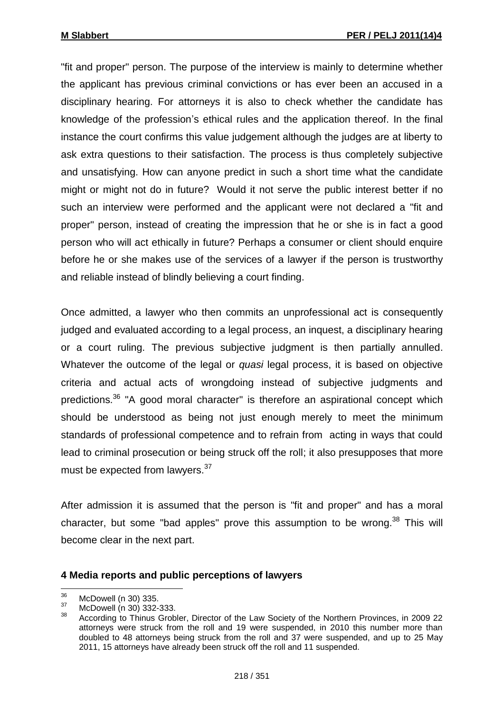"fit and proper" person. The purpose of the interview is mainly to determine whether the applicant has previous criminal convictions or has ever been an accused in a disciplinary hearing. For attorneys it is also to check whether the candidate has knowledge of the profession's ethical rules and the application thereof. In the final instance the court confirms this value judgement although the judges are at liberty to ask extra questions to their satisfaction. The process is thus completely subjective and unsatisfying. How can anyone predict in such a short time what the candidate might or might not do in future? Would it not serve the public interest better if no such an interview were performed and the applicant were not declared a "fit and proper" person, instead of creating the impression that he or she is in fact a good person who will act ethically in future? Perhaps a consumer or client should enquire before he or she makes use of the services of a lawyer if the person is trustworthy and reliable instead of blindly believing a court finding.

Once admitted, a lawyer who then commits an unprofessional act is consequently judged and evaluated according to a legal process, an inquest, a disciplinary hearing or a court ruling. The previous subjective judgment is then partially annulled. Whatever the outcome of the legal or *quasi* legal process, it is based on objective criteria and actual acts of wrongdoing instead of subjective judgments and predictions.<sup>36</sup> "A good moral character" is therefore an aspirational concept which should be understood as being not just enough merely to meet the minimum standards of professional competence and to refrain from acting in ways that could lead to criminal prosecution or being struck off the roll; it also presupposes that more must be expected from lawyers.<sup>37</sup>

After admission it is assumed that the person is "fit and proper" and has a moral character, but some "bad apples" prove this assumption to be wrong. $38$  This will become clear in the next part.

#### **4 Media reports and public perceptions of lawyers**

<sup>36</sup>  $\frac{36}{37}$  McDowell (n 30) 335.

 $37$  McDowell (n 30) 332-333.

<sup>38</sup> According to Thinus Grobler, Director of the Law Society of the Northern Provinces, in 2009 22 attorneys were struck from the roll and 19 were suspended, in 2010 this number more than doubled to 48 attorneys being struck from the roll and 37 were suspended, and up to 25 May 2011, 15 attorneys have already been struck off the roll and 11 suspended.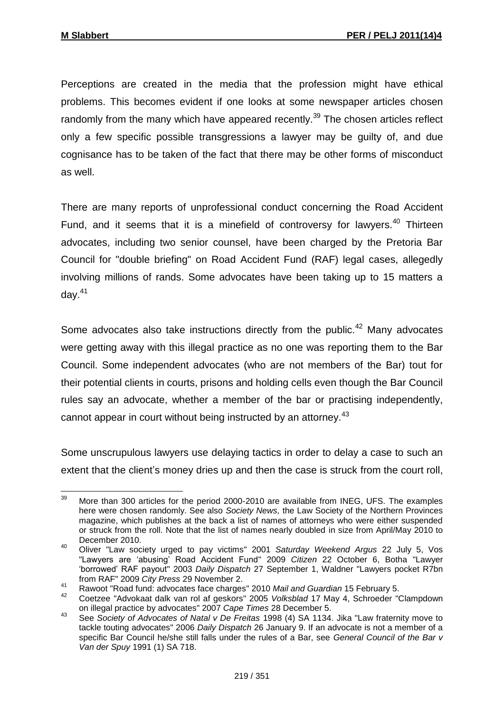Perceptions are created in the media that the profession might have ethical problems. This becomes evident if one looks at some newspaper articles chosen randomly from the many which have appeared recently. $39$  The chosen articles reflect only a few specific possible transgressions a lawyer may be guilty of, and due cognisance has to be taken of the fact that there may be other forms of misconduct as well.

There are many reports of unprofessional conduct concerning the Road Accident Fund, and it seems that it is a minefield of controversy for lawyers.<sup>40</sup> Thirteen advocates, including two senior counsel, have been charged by the Pretoria Bar Council for "double briefing" on Road Accident Fund (RAF) legal cases, allegedly involving millions of rands. Some advocates have been taking up to 15 matters a day. $41$ 

Some advocates also take instructions directly from the public.<sup>42</sup> Many advocates were getting away with this illegal practice as no one was reporting them to the Bar Council. Some independent advocates (who are not members of the Bar) tout for their potential clients in courts, prisons and holding cells even though the Bar Council rules say an advocate, whether a member of the bar or practising independently, cannot appear in court without being instructed by an attorney.<sup>43</sup>

Some unscrupulous lawyers use delaying tactics in order to delay a case to such an extent that the client's money dries up and then the case is struck from the court roll,

 $39$ More than 300 articles for the period 2000-2010 are available from INEG, UFS. The examples here were chosen randomly. See also *Society News,* the Law Society of the Northern Provinces magazine, which publishes at the back a list of names of attorneys who were either suspended or struck from the roll. Note that the list of names nearly doubled in size from April/May 2010 to December 2010.

<sup>40</sup> Oliver "Law society urged to pay victims" 2001 *Saturday Weekend Argus* 22 July 5, Vos "Lawyers are 'abusing' Road Accident Fund" 2009 *Citizen* 22 October 6, Botha "Lawyer 'borrowed' RAF payout" 2003 *Daily Dispatch* 27 September 1, Waldner "Lawyers pocket R7bn from RAF" 2009 *City Press* 29 November 2.

<sup>41</sup> Rawoot "Road fund: advocates face charges" 2010 *Mail and Guardian* 15 February 5.

<sup>42</sup> Coetzee "Advokaat dalk van rol af geskors" 2005 *Volksblad* 17 May 4, Schroeder "Clampdown on illegal practice by advocates" 2007 *Cape Times* 28 December 5.

<sup>43</sup> See *Society of Advocates of Natal v De Freitas* 1998 (4) SA 1134. Jika "Law fraternity move to tackle touting advocates" 2006 *Daily Dispatch* 26 January 9. If an advocate is not a member of a specific Bar Council he/she still falls under the rules of a Bar, see *General Council of the Bar v Van der Spuy* 1991 (1) SA 718.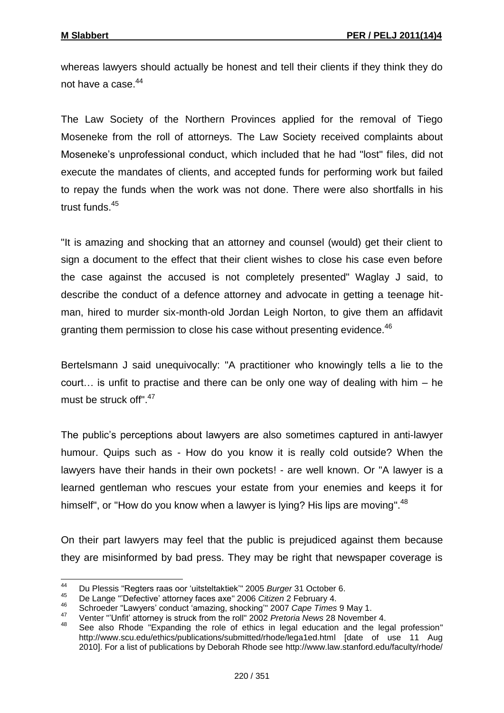whereas lawyers should actually be honest and tell their clients if they think they do not have a case.<sup>44</sup>

The Law Society of the Northern Provinces applied for the removal of Tiego Moseneke from the roll of attorneys. The Law Society received complaints about Moseneke's unprofessional conduct, which included that he had "lost" files, did not execute the mandates of clients, and accepted funds for performing work but failed to repay the funds when the work was not done. There were also shortfalls in his trust funds.<sup>45</sup>

"It is amazing and shocking that an attorney and counsel (would) get their client to sign a document to the effect that their client wishes to close his case even before the case against the accused is not completely presented" Waglay J said, to describe the conduct of a defence attorney and advocate in getting a teenage hitman, hired to murder six-month-old Jordan Leigh Norton, to give them an affidavit granting them permission to close his case without presenting evidence.<sup>46</sup>

Bertelsmann J said unequivocally: "A practitioner who knowingly tells a lie to the court… is unfit to practise and there can be only one way of dealing with him – he must be struck off". 47

The public's perceptions about lawyers are also sometimes captured in anti-lawyer humour. Quips such as - How do you know it is really cold outside? When the lawyers have their hands in their own pockets! - are well known. Or "A lawyer is a learned gentleman who rescues your estate from your enemies and keeps it for himself", or "How do you know when a lawyer is lying? His lips are moving".<sup>48</sup>

On their part lawyers may feel that the public is prejudiced against them because they are misinformed by bad press. They may be right that newspaper coverage is

<sup>44</sup> <sup>44</sup> Du Plessis "Regters raas oor 'uitsteltaktiek'" 2005 *Burger* 31 October 6.

<sup>45</sup> De Lange "'Defective' attorney faces axe" 2006 *Citizen* 2 February 4.

<sup>46</sup> Schroeder "Lawyers' conduct 'amazing, shocking'" 2007 *Cape Times* 9 May 1.

<sup>47</sup> Venter "'Unfit' attorney is struck from the roll" 2002 *Pretoria News* 28 November 4.

<sup>48</sup> See also Rhode "Expanding the role of ethics in legal education and the legal profession" [http://www.](http://www/)scu.edu/ethics/publications/submitted/rhode/lega1ed.html [date of use 11 Aug 2010]. For a list of publications by Deborah Rhode see http://www.law.stanford.edu/faculty/rhode/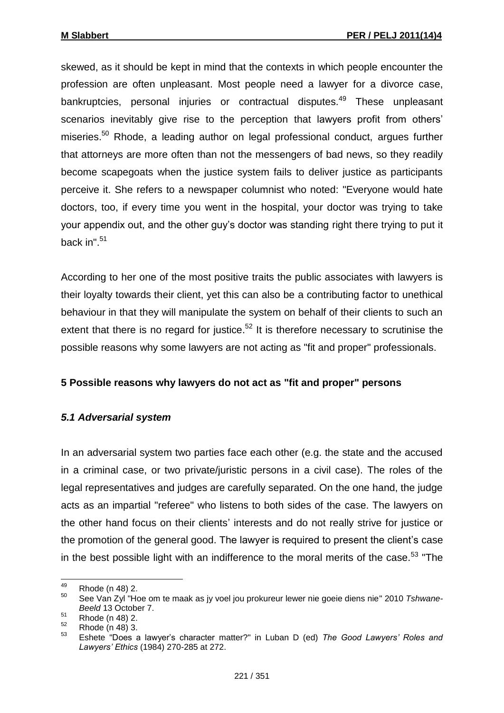skewed, as it should be kept in mind that the contexts in which people encounter the profession are often unpleasant. Most people need a lawyer for a divorce case, bankruptcies, personal injuries or contractual disputes.<sup>49</sup> These unpleasant scenarios inevitably give rise to the perception that lawyers profit from others' miseries.<sup>50</sup> Rhode, a leading author on legal professional conduct, argues further that attorneys are more often than not the messengers of bad news, so they readily become scapegoats when the justice system fails to deliver justice as participants perceive it. She refers to a newspaper columnist who noted: "Everyone would hate doctors, too, if every time you went in the hospital, your doctor was trying to take your appendix out, and the other guy's doctor was standing right there trying to put it back in". 51

According to her one of the most positive traits the public associates with lawyers is their loyalty towards their client, yet this can also be a contributing factor to unethical behaviour in that they will manipulate the system on behalf of their clients to such an extent that there is no regard for justice.<sup>52</sup> It is therefore necessary to scrutinise the possible reasons why some lawyers are not acting as "fit and proper" professionals.

## **5 Possible reasons why lawyers do not act as "fit and proper" persons**

## *5.1 Adversarial system*

In an adversarial system two parties face each other (e.g. the state and the accused in a criminal case, or two private/juristic persons in a civil case). The roles of the legal representatives and judges are carefully separated. On the one hand, the judge acts as an impartial "referee" who listens to both sides of the case. The lawyers on the other hand focus on their clients' interests and do not really strive for justice or the promotion of the general good. The lawyer is required to present the client's case in the best possible light with an indifference to the moral merits of the case.<sup>53</sup> "The

<sup>49</sup>  $^{49}$  Rhode (n 48) 2.

<sup>50</sup> See Van Zyl "Hoe om te maak as jy voel jou prokureur lewer nie goeie diens nie" 2010 *Tshwane-Beeld* 13 October 7.

 $51$  Rhode (n 48) 2.

 $\frac{52}{53}$  Rhode (n 48) 3.

<sup>53</sup> Eshete "Does a lawyer's character matter?" in Luban D (ed) *The Good Lawyers' Roles and Lawyers' Ethics* (1984) 270-285 at 272.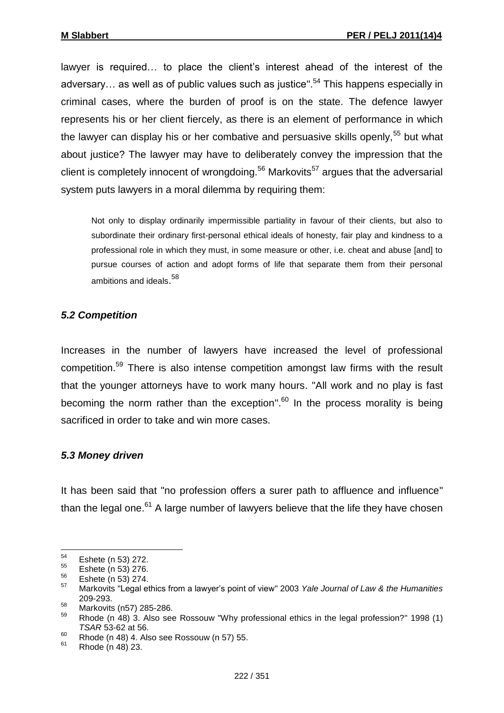lawyer is required… to place the client's interest ahead of the interest of the adversary... as well as of public values such as justice".<sup>54</sup> This happens especially in criminal cases, where the burden of proof is on the state. The defence lawyer represents his or her client fiercely, as there is an element of performance in which the lawyer can display his or her combative and persuasive skills openly,  $55$  but what about justice? The lawyer may have to deliberately convey the impression that the client is completely innocent of wrongdoing.<sup>56</sup> Markovits<sup>57</sup> argues that the adversarial system puts lawyers in a moral dilemma by requiring them:

Not only to display ordinarily impermissible partiality in favour of their clients, but also to subordinate their ordinary first-personal ethical ideals of honesty, fair play and kindness to a professional role in which they must, in some measure or other, i.e. cheat and abuse [and] to pursue courses of action and adopt forms of life that separate them from their personal ambitions and ideals.<sup>58</sup>

#### *5.2 Competition*

Increases in the number of lawyers have increased the level of professional competition.<sup>59</sup> There is also intense competition amongst law firms with the result that the younger attorneys have to work many hours. "All work and no play is fast becoming the norm rather than the exception".<sup>60</sup> In the process morality is being sacrificed in order to take and win more cases.

## *5.3 Money driven*

It has been said that "no profession offers a surer path to affluence and influence" than the legal one. $61$  A large number of lawyers believe that the life they have chosen

<sup>54</sup>  $^{54}$  Eshete (n 53) 272.

 $^{55}$  Eshete (n 53) 276.

 $^{56}$  Eshete (n 53) 274.

<sup>57</sup> Markovits "Legal ethics from a lawyer's point of view" 2003 *Yale Journal of Law & the Humanities*  209-293.

 $\frac{58}{59}$  Markovits (n57) 285-286.

<sup>59</sup> Rhode (n 48) 3. Also see Rossouw "Why professional ethics in the legal profession?" 1998 (1) *TSAR* 53-62 at 56.

 $60$  Rhode (n 48) 4. Also see Rossouw (n 57) 55.

<sup>61</sup> Rhode (n 48) 23.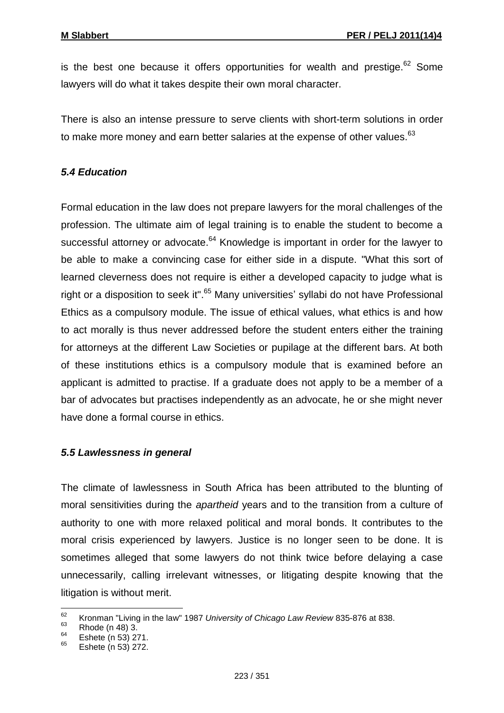is the best one because it offers opportunities for wealth and prestige.  $62$  Some lawyers will do what it takes despite their own moral character.

There is also an intense pressure to serve clients with short-term solutions in order to make more money and earn better salaries at the expense of other values.<sup>63</sup>

## *5.4 Education*

Formal education in the law does not prepare lawyers for the moral challenges of the profession. The ultimate aim of legal training is to enable the student to become a successful attorney or advocate.<sup>64</sup> Knowledge is important in order for the lawyer to be able to make a convincing case for either side in a dispute. "What this sort of learned cleverness does not require is either a developed capacity to judge what is right or a disposition to seek it".<sup>65</sup> Many universities' syllabi do not have Professional Ethics as a compulsory module. The issue of ethical values, what ethics is and how to act morally is thus never addressed before the student enters either the training for attorneys at the different Law Societies or pupilage at the different bars. At both of these institutions ethics is a compulsory module that is examined before an applicant is admitted to practise. If a graduate does not apply to be a member of a bar of advocates but practises independently as an advocate, he or she might never have done a formal course in ethics.

## *5.5 Lawlessness in general*

The climate of lawlessness in South Africa has been attributed to the blunting of moral sensitivities during the *apartheid* years and to the transition from a culture of authority to one with more relaxed political and moral bonds. It contributes to the moral crisis experienced by lawyers. Justice is no longer seen to be done. It is sometimes alleged that some lawyers do not think twice before delaying a case unnecessarily, calling irrelevant witnesses, or litigating despite knowing that the litigation is without merit.

 $62$ <sup>62</sup> Kronman "Living in the law" 1987 *University of Chicago Law Review* 835-876 at 838.

 $^{63}_{64}$  Rhode (n 48) 3.

 $^{64}$  Eshete (n 53) 271.

Eshete (n 53) 272.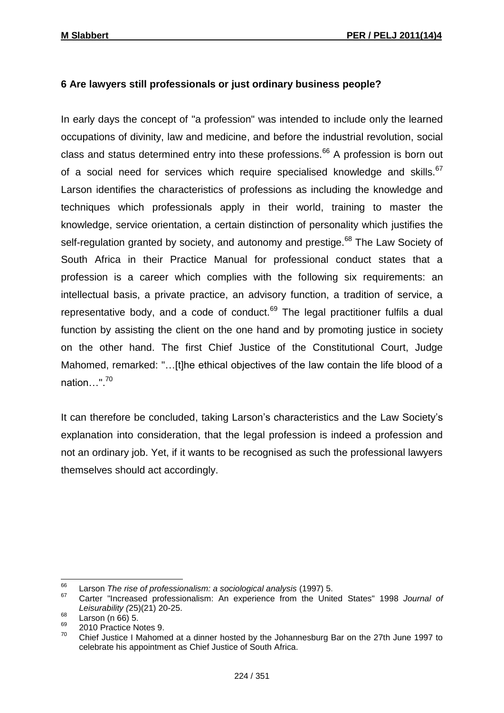# **6 Are lawyers still professionals or just ordinary business people?**

In early days the concept of "a profession" was intended to include only the learned occupations of divinity, law and medicine, and before the industrial revolution, social class and status determined entry into these professions.<sup>66</sup> A profession is born out of a social need for services which require specialised knowledge and skills.<sup>67</sup> Larson identifies the characteristics of professions as including the knowledge and techniques which professionals apply in their world, training to master the knowledge, service orientation, a certain distinction of personality which justifies the self-regulation granted by society, and autonomy and prestige.<sup>68</sup> The Law Society of South Africa in their Practice Manual for professional conduct states that a profession is a career which complies with the following six requirements: an intellectual basis, a private practice, an advisory function, a tradition of service, a representative body, and a code of conduct.<sup>69</sup> The legal practitioner fulfils a dual function by assisting the client on the one hand and by promoting justice in society on the other hand. The first Chief Justice of the Constitutional Court, Judge Mahomed, remarked: "…[t]he ethical objectives of the law contain the life blood of a nation…". 70

It can therefore be concluded, taking Larson's characteristics and the Law Society's explanation into consideration, that the legal profession is indeed a profession and not an ordinary job. Yet, if it wants to be recognised as such the professional lawyers themselves should act accordingly.

<sup>66</sup> <sup>66</sup> Larson *The rise of professionalism: a sociological analysis* (1997) 5.

<sup>67</sup> Carter "Increased professionalism: An experience from the United States" 1998 *Journal of Leisurability (*25)(21) 20-25.

 $^{68}$  Larson (n 66) 5.

 $^{69}$  2010 Practice Notes 9.

<sup>70</sup> Chief Justice I Mahomed at a dinner hosted by the Johannesburg Bar on the 27th June 1997 to celebrate his appointment as Chief Justice of South Africa.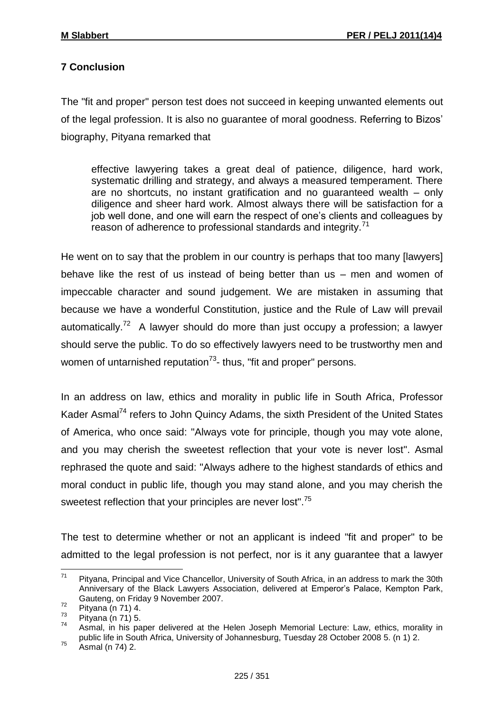# **7 Conclusion**

The "fit and proper" person test does not succeed in keeping unwanted elements out of the legal profession. It is also no guarantee of moral goodness. Referring to Bizos' biography, Pityana remarked that

effective lawyering takes a great deal of patience, diligence, hard work, systematic drilling and strategy, and always a measured temperament. There are no shortcuts, no instant gratification and no guaranteed wealth – only diligence and sheer hard work. Almost always there will be satisfaction for a job well done, and one will earn the respect of one's clients and colleagues by reason of adherence to professional standards and integrity.<sup>71</sup>

He went on to say that the problem in our country is perhaps that too many [lawyers] behave like the rest of us instead of being better than us – men and women of impeccable character and sound judgement. We are mistaken in assuming that because we have a wonderful Constitution, justice and the Rule of Law will prevail automatically.<sup>72</sup> A lawyer should do more than just occupy a profession; a lawyer should serve the public. To do so effectively lawyers need to be trustworthy men and women of untarnished reputation<sup>73</sup>- thus, "fit and proper" persons.

In an address on law, ethics and morality in public life in South Africa, Professor Kader Asmal<sup>74</sup> refers to John Quincy Adams, the sixth President of the United States of America, who once said: "Always vote for principle, though you may vote alone, and you may cherish the sweetest reflection that your vote is never lost". Asmal rephrased the quote and said: "Always adhere to the highest standards of ethics and moral conduct in public life, though you may stand alone, and you may cherish the sweetest reflection that your principles are never lost".<sup>75</sup>

The test to determine whether or not an applicant is indeed "fit and proper" to be admitted to the legal profession is not perfect, nor is it any guarantee that a lawyer

 $71$ Pityana, Principal and Vice Chancellor, University of South Africa, in an address to mark the 30th Anniversary of the Black Lawyers Association, delivered at Emperor's Palace, Kempton Park, Gauteng, on Friday 9 November 2007.

 $72$  Pityana (n 71) 4.

 $\frac{73}{74}$  Pityana (n 71) 5.

<sup>74</sup> Asmal, in his paper delivered at the Helen Joseph Memorial Lecture: Law, ethics, morality in public life in South Africa, University of Johannesburg, Tuesday 28 October 2008 5. (n 1) 2.

 $75$  Asmal (n 74) 2.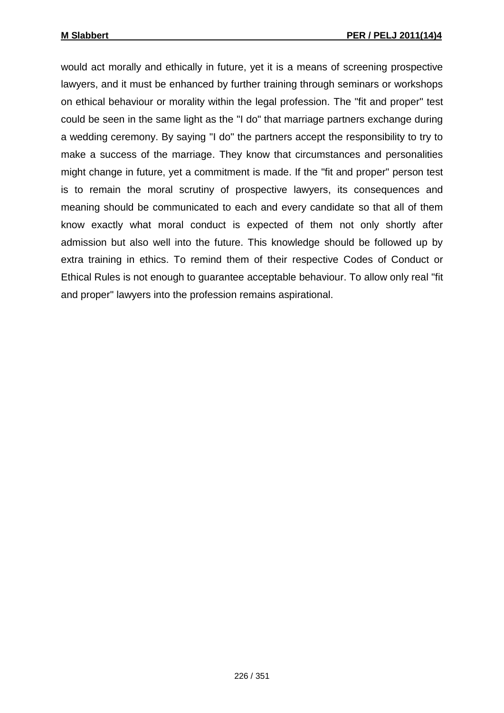would act morally and ethically in future, yet it is a means of screening prospective lawyers, and it must be enhanced by further training through seminars or workshops on ethical behaviour or morality within the legal profession. The "fit and proper" test could be seen in the same light as the "I do" that marriage partners exchange during a wedding ceremony. By saying "I do" the partners accept the responsibility to try to make a success of the marriage. They know that circumstances and personalities might change in future, yet a commitment is made. If the "fit and proper" person test is to remain the moral scrutiny of prospective lawyers, its consequences and meaning should be communicated to each and every candidate so that all of them know exactly what moral conduct is expected of them not only shortly after admission but also well into the future. This knowledge should be followed up by extra training in ethics. To remind them of their respective Codes of Conduct or Ethical Rules is not enough to guarantee acceptable behaviour. To allow only real "fit and proper" lawyers into the profession remains aspirational.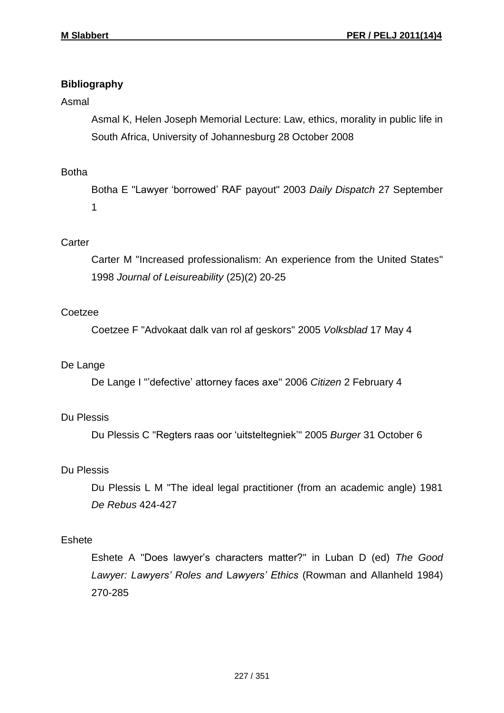# **Bibliography**

## Asmal

Asmal K, Helen Joseph Memorial Lecture: Law, ethics, morality in public life in South Africa, University of Johannesburg 28 October 2008

# Botha

Botha E "Lawyer 'borrowed' RAF payout" 2003 *Daily Dispatch* 27 September 1

# **Carter**

Carter M "Increased professionalism: An experience from the United States" 1998 *Journal of Leisureability* (25)(2) 20-25

# **Coetzee**

Coetzee F "Advokaat dalk van rol af geskors" 2005 *Volksblad* 17 May 4

## De Lange

De Lange I "'defective' attorney faces axe" 2006 *Citizen* 2 February 4

# Du Plessis

Du Plessis C "Regters raas oor 'uitsteltegniek'" 2005 *Burger* 31 October 6

# Du Plessis

Du Plessis L M "The ideal legal practitioner (from an academic angle) 1981 *De Rebus* 424-427

## Eshete

Eshete A "Does lawyer's characters matter?" in Luban D (ed) *The Good Lawyer: Lawyers' Roles and* L*awyers' Ethics* (Rowman and Allanheld 1984) 270-285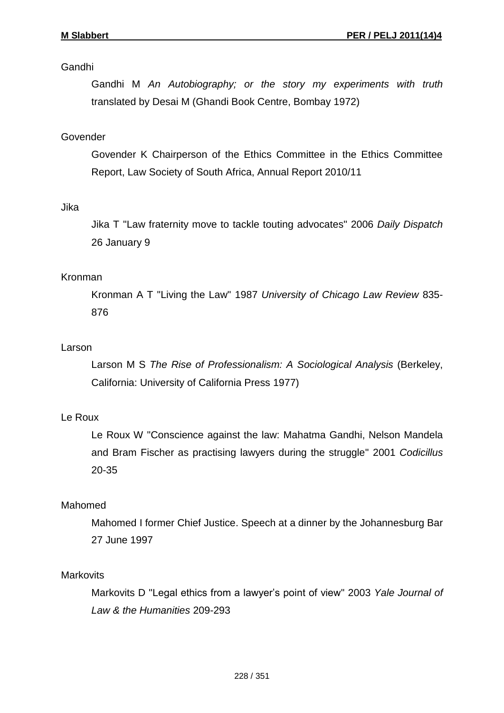# Gandhi

Gandhi M *An Autobiography; or the story my experiments with truth* translated by Desai M (Ghandi Book Centre, Bombay 1972)

# Govender

Govender K Chairperson of the Ethics Committee in the Ethics Committee Report, Law Society of South Africa, Annual Report 2010/11

# Jika

Jika T "Law fraternity move to tackle touting advocates" 2006 *Daily Dispatch* 26 January 9

# Kronman

Kronman A T "Living the Law" 1987 *University of Chicago Law Review* 835- 876

## Larson

Larson M S *The Rise of Professionalism: A Sociological Analysis* (Berkeley, California: University of California Press 1977)

# Le Roux

Le Roux W "Conscience against the law: Mahatma Gandhi, Nelson Mandela and Bram Fischer as practising lawyers during the struggle" 2001 *Codicillus* 20-35

# Mahomed

Mahomed I former Chief Justice. Speech at a dinner by the Johannesburg Bar 27 June 1997

## **Markovits**

Markovits D "Legal ethics from a lawyer's point of view" 2003 *Yale Journal of Law & the Humanities* 209-293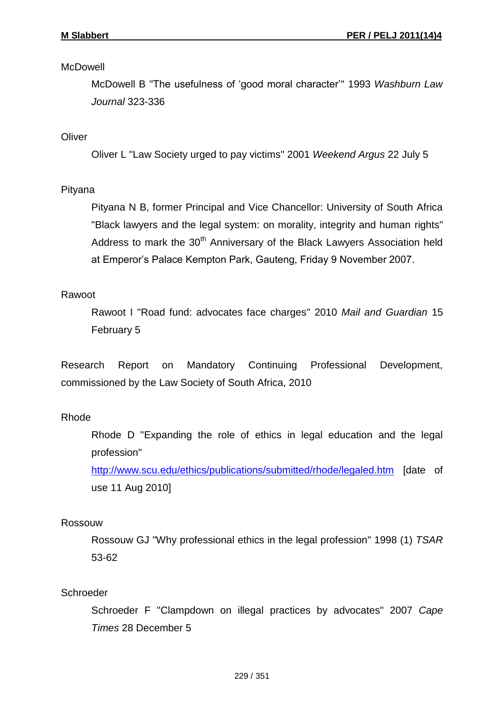## **McDowell**

McDowell B "The usefulness of 'good moral character'" 1993 *Washburn Law Journal* 323-336

# **Oliver**

Oliver L "Law Society urged to pay victims" 2001 *Weekend Argus* 22 July 5

# Pityana

Pityana N B, former Principal and Vice Chancellor: University of South Africa "Black lawyers and the legal system: on morality, integrity and human rights" Address to mark the  $30<sup>th</sup>$  Anniversary of the Black Lawyers Association held at Emperor's Palace Kempton Park, Gauteng, Friday 9 November 2007.

# Rawoot

Rawoot I "Road fund: advocates face charges" 2010 *Mail and Guardian* 15 February 5

Research Report on Mandatory Continuing Professional Development, commissioned by the Law Society of South Africa, 2010

# Rhode

Rhode D "Expanding the role of ethics in legal education and the legal profession"

<http://www.scu.edu/ethics/publications/submitted/rhode/legaled.htm> [date of use 11 Aug 2010]

# Rossouw

Rossouw GJ "Why professional ethics in the legal profession" 1998 (1) *TSAR*  53-62

## **Schroeder**

Schroeder F "Clampdown on illegal practices by advocates" 2007 *Cape Times* 28 December 5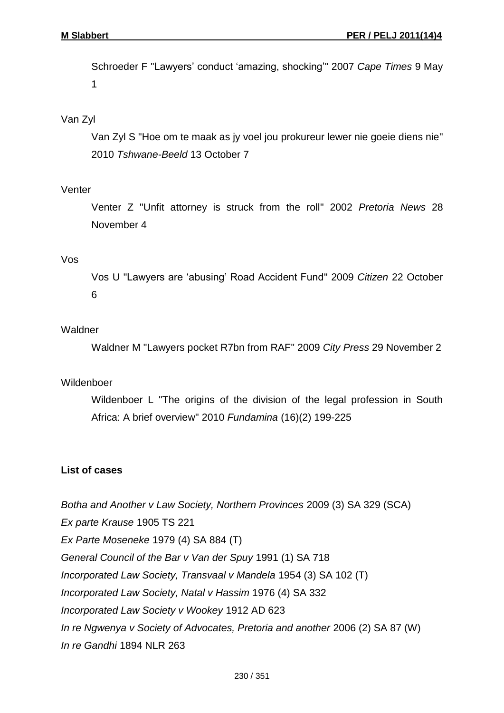Schroeder F "Lawyers' conduct 'amazing, shocking'" 2007 *Cape Times* 9 May 1

## Van Zyl

Van Zyl S "Hoe om te maak as jy voel jou prokureur lewer nie goeie diens nie" 2010 *Tshwane-Beeld* 13 October 7

#### Venter

Venter Z "Unfit attorney is struck from the roll" 2002 *Pretoria News* 28 November 4

#### Vos

Vos U "Lawyers are 'abusing' Road Accident Fund" 2009 *Citizen* 22 October 6

## Waldner

Waldner M "Lawyers pocket R7bn from RAF" 2009 *City Press* 29 November 2

#### Wildenboer

Wildenboer L "The origins of the division of the legal profession in South Africa: A brief overview" 2010 *Fundamina* (16)(2) 199-225

#### **List of cases**

*Botha and Another v Law Society, Northern Provinces* 2009 (3) SA 329 (SCA) *Ex parte Krause* 1905 TS 221 *Ex Parte Moseneke* 1979 (4) SA 884 (T) *General Council of the Bar v Van der Spuy* 1991 (1) SA 718 *Incorporated Law Society, Transvaal v Mandela* 1954 (3) SA 102 (T) *Incorporated Law Society, Natal v Hassim* 1976 (4) SA 332 *Incorporated Law Society v Wookey* 1912 AD 623 *In re Ngwenya v Society of Advocates, Pretoria and another* 2006 (2) SA 87 (W) *In re Gandhi* 1894 NLR 263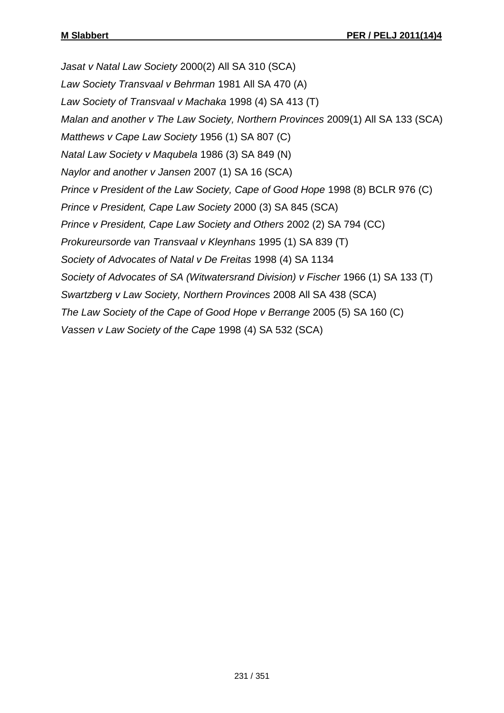*Jasat v Natal Law Society* 2000(2) All SA 310 (SCA) *Law Society Transvaal v Behrman* 1981 All SA 470 (A) *Law Society of Transvaal v Machaka* 1998 (4) SA 413 (T) *Malan and another v The Law Society, Northern Provinces* 2009(1) All SA 133 (SCA) *Matthews v Cape Law Society* 1956 (1) SA 807 (C) *Natal Law Society v Maqubela* 1986 (3) SA 849 (N) *Naylor and another v Jansen* 2007 (1) SA 16 (SCA) *Prince v President of the Law Society, Cape of Good Hope* 1998 (8) BCLR 976 (C) *Prince v President, Cape Law Society* 2000 (3) SA 845 (SCA) *Prince v President, Cape Law Society and Others* 2002 (2) SA 794 (CC) *Prokureursorde van Transvaal v Kleynhans* 1995 (1) SA 839 (T) *Society of Advocates of Natal v De Freitas* 1998 (4) SA 1134 *Society of Advocates of SA (Witwatersrand Division) v Fischer* 1966 (1) SA 133 (T) *Swartzberg v Law Society, Northern Provinces* 2008 All SA 438 (SCA) *The Law Society of the Cape of Good Hope v Berrange* 2005 (5) SA 160 (C) *Vassen v Law Society of the Cape* 1998 (4) SA 532 (SCA)